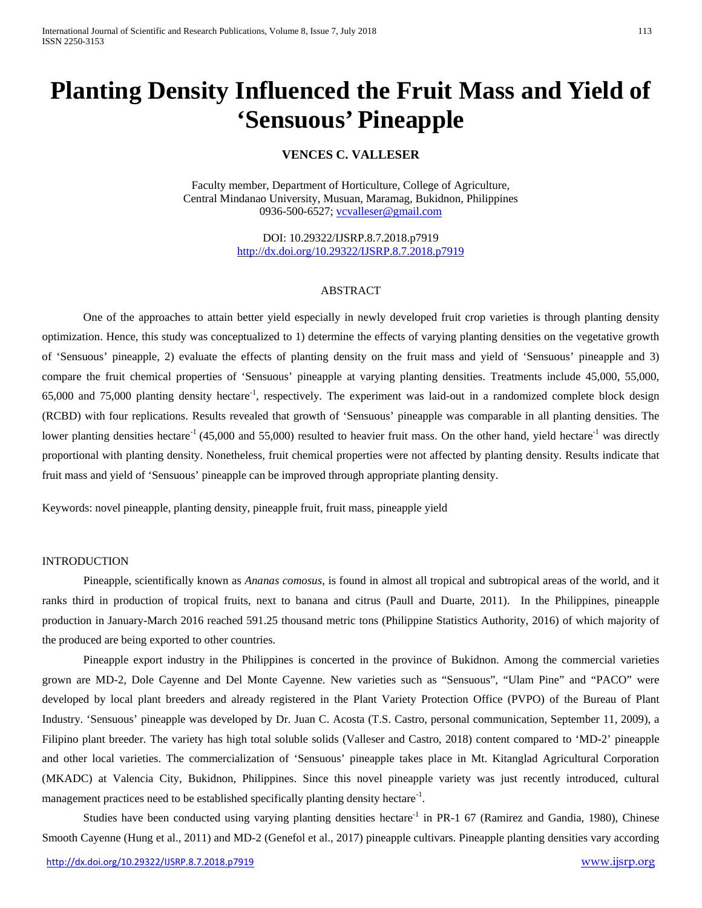# **Planting Density Influenced the Fruit Mass and Yield of 'Sensuous' Pineapple**

## **VENCES C. VALLESER**

Faculty member, Department of Horticulture, College of Agriculture, Central Mindanao University, Musuan, Maramag, Bukidnon, Philippines 0936-500-6527; [vcvalleser@gmail.com](mailto:vcvalleser@gmail.com)

> DOI: 10.29322/IJSRP.8.7.2018.p7919 <http://dx.doi.org/10.29322/IJSRP.8.7.2018.p7919>

#### ABSTRACT

One of the approaches to attain better yield especially in newly developed fruit crop varieties is through planting density optimization. Hence, this study was conceptualized to 1) determine the effects of varying planting densities on the vegetative growth of 'Sensuous' pineapple, 2) evaluate the effects of planting density on the fruit mass and yield of 'Sensuous' pineapple and 3) compare the fruit chemical properties of 'Sensuous' pineapple at varying planting densities. Treatments include 45,000, 55,000, 65,000 and 75,000 planting density hectare<sup>-1</sup>, respectively. The experiment was laid-out in a randomized complete block design (RCBD) with four replications. Results revealed that growth of 'Sensuous' pineapple was comparable in all planting densities. The lower planting densities hectare<sup>-1</sup> (45,000 and 55,000) resulted to heavier fruit mass. On the other hand, yield hectare<sup>-1</sup> was directly proportional with planting density. Nonetheless, fruit chemical properties were not affected by planting density. Results indicate that fruit mass and yield of 'Sensuous' pineapple can be improved through appropriate planting density.

Keywords: novel pineapple, planting density, pineapple fruit, fruit mass, pineapple yield

### INTRODUCTION

Pineapple, scientifically known as *Ananas comosus*, is found in almost all tropical and subtropical areas of the world, and it ranks third in production of tropical fruits, next to banana and citrus (Paull and Duarte, 2011). In the Philippines, pineapple production in January-March 2016 reached 591.25 thousand metric tons (Philippine Statistics Authority, 2016) of which majority of the produced are being exported to other countries.

Pineapple export industry in the Philippines is concerted in the province of Bukidnon. Among the commercial varieties grown are MD-2, Dole Cayenne and Del Monte Cayenne. New varieties such as "Sensuous", "Ulam Pine" and "PACO" were developed by local plant breeders and already registered in the Plant Variety Protection Office (PVPO) of the Bureau of Plant Industry. 'Sensuous' pineapple was developed by Dr. Juan C. Acosta (T.S. Castro, personal communication, September 11, 2009), a Filipino plant breeder. The variety has high total soluble solids (Valleser and Castro, 2018) content compared to 'MD-2' pineapple and other local varieties. The commercialization of 'Sensuous' pineapple takes place in Mt. Kitanglad Agricultural Corporation (MKADC) at Valencia City, Bukidnon, Philippines. Since this novel pineapple variety was just recently introduced, cultural management practices need to be established specifically planting density hectare<sup>-1</sup>.

Studies have been conducted using varying planting densities hectare<sup>-1</sup> in PR-1 67 (Ramirez and Gandia, 1980), Chinese Smooth Cayenne (Hung et al., 2011) and MD-2 (Genefol et al., 2017) pineapple cultivars. Pineapple planting densities vary according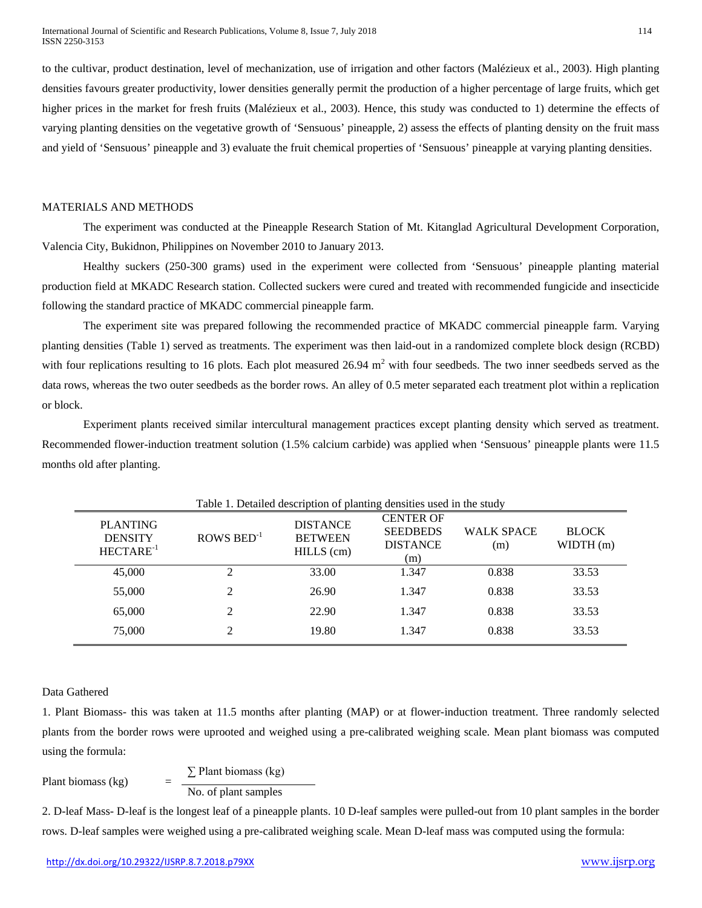to the cultivar, product destination, level of mechanization, use of irrigation and other factors (Malézieux et al., 2003). High planting densities favours greater productivity, lower densities generally permit the production of a higher percentage of large fruits, which get higher prices in the market for fresh fruits (Malézieux et al., 2003). Hence, this study was conducted to 1) determine the effects of varying planting densities on the vegetative growth of 'Sensuous' pineapple, 2) assess the effects of planting density on the fruit mass and yield of 'Sensuous' pineapple and 3) evaluate the fruit chemical properties of 'Sensuous' pineapple at varying planting densities.

#### MATERIALS AND METHODS

The experiment was conducted at the Pineapple Research Station of Mt. Kitanglad Agricultural Development Corporation, Valencia City, Bukidnon, Philippines on November 2010 to January 2013.

Healthy suckers (250-300 grams) used in the experiment were collected from 'Sensuous' pineapple planting material production field at MKADC Research station. Collected suckers were cured and treated with recommended fungicide and insecticide following the standard practice of MKADC commercial pineapple farm.

The experiment site was prepared following the recommended practice of MKADC commercial pineapple farm. Varying planting densities (Table 1) served as treatments. The experiment was then laid-out in a randomized complete block design (RCBD) with four replications resulting to 16 plots. Each plot measured 26.94  $m<sup>2</sup>$  with four seedbeds. The two inner seedbeds served as the data rows, whereas the two outer seedbeds as the border rows. An alley of 0.5 meter separated each treatment plot within a replication or block.

Experiment plants received similar intercultural management practices except planting density which served as treatment. Recommended flower-induction treatment solution (1.5% calcium carbide) was applied when 'Sensuous' pineapple plants were 11.5 months old after planting.

| Table 1. Detailed description of planting densities used in the study |              |                                                 |                                                               |                          |                          |  |  |
|-----------------------------------------------------------------------|--------------|-------------------------------------------------|---------------------------------------------------------------|--------------------------|--------------------------|--|--|
| <b>PLANTING</b><br><b>DENSITY</b><br>HECTARE <sup>-1</sup>            | ROWS $BED-1$ | <b>DISTANCE</b><br><b>BETWEEN</b><br>HILLS (cm) | <b>CENTER OF</b><br><b>SEEDBEDS</b><br><b>DISTANCE</b><br>(m) | <b>WALK SPACE</b><br>(m) | <b>BLOCK</b><br>WIDTH(m) |  |  |
| 45,000                                                                | 2            | 33.00                                           | 1.347                                                         | 0.838                    | 33.53                    |  |  |
| 55,000                                                                | 2            | 26.90                                           | 1.347                                                         | 0.838                    | 33.53                    |  |  |
| 65,000                                                                | 2            | 22.90                                           | 1.347                                                         | 0.838                    | 33.53                    |  |  |
| 75,000                                                                | 2            | 19.80                                           | 1.347                                                         | 0.838                    | 33.53                    |  |  |

#### Data Gathered

1. Plant Biomass- this was taken at 11.5 months after planting (MAP) or at flower-induction treatment. Three randomly selected plants from the border rows were uprooted and weighed using a pre-calibrated weighing scale. Mean plant biomass was computed using the formula:

Plant biomass (kg)  $= \frac{\sum \text{Plant biomass (kg)}}{}$ No. of plant samples

2. D-leaf Mass- D-leaf is the longest leaf of a pineapple plants. 10 D-leaf samples were pulled-out from 10 plant samples in the border rows. D-leaf samples were weighed using a pre-calibrated weighing scale. Mean D-leaf mass was computed using the formula: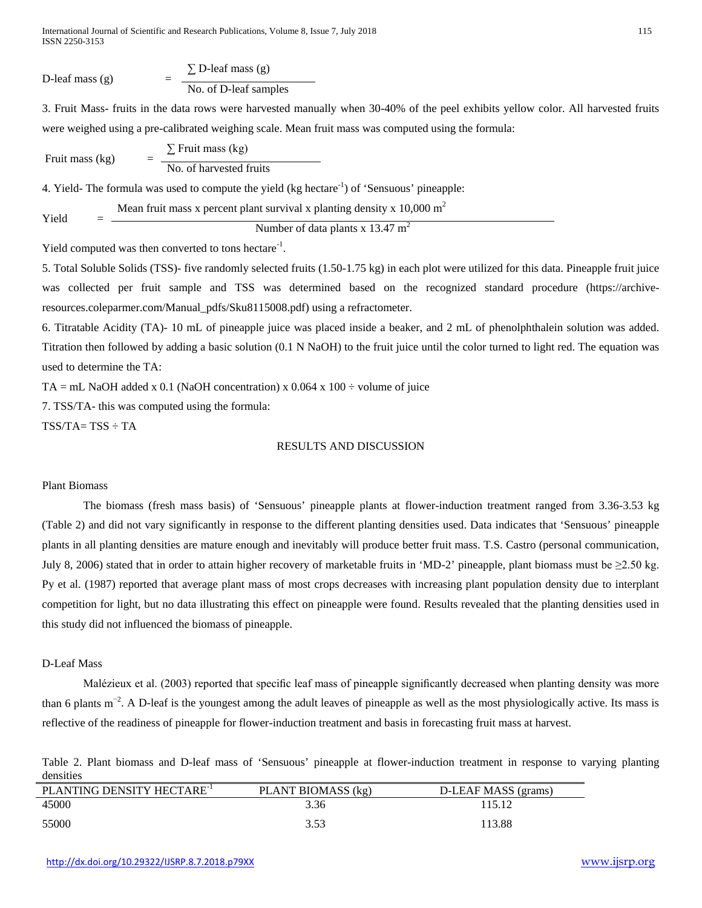D-leaf mass (g)  $=$   $\frac{\sum D-\text{leaf mass (g)}}{2}$ 

No. of D-leaf samples

3. Fruit Mass- fruits in the data rows were harvested manually when 30-40% of the peel exhibits yellow color. All harvested fruits were weighed using a pre-calibrated weighing scale. Mean fruit mass was computed using the formula:

Fruit mass (kg)  $= \frac{\sum$  Fruit mass (kg)

No. of harvested fruits

4. Yield- The formula was used to compute the yield (kg hectare<sup>-1</sup>) of 'Sensuous' pineapple:

Yield  $=$  Mean fruit mass x percent plant survival x planting density x 10,000 m<sup>2</sup>

Number of data plants x 13.47  $m<sup>2</sup>$ 

Yield computed was then converted to tons hectare<sup>-1</sup>.

5. Total Soluble Solids (TSS)- five randomly selected fruits (1.50-1.75 kg) in each plot were utilized for this data. Pineapple fruit juice was collected per fruit sample and TSS was determined based on the recognized standard procedure (https://archiveresources.coleparmer.com/Manual\_pdfs/Sku8115008.pdf) using a refractometer.

6. Titratable Acidity (TA)- 10 mL of pineapple juice was placed inside a beaker, and 2 mL of phenolphthalein solution was added. Titration then followed by adding a basic solution (0.1 N NaOH) to the fruit juice until the color turned to light red. The equation was used to determine the TA:

TA = mL NaOH added x 0.1 (NaOH concentration) x 0.064 x 100  $\div$  volume of juice

7. TSS/TA- this was computed using the formula:

 $TSS/TA = TSS \div TA$ 

#### RESULTS AND DISCUSSION

#### Plant Biomass

The biomass (fresh mass basis) of 'Sensuous' pineapple plants at flower-induction treatment ranged from 3.36-3.53 kg (Table 2) and did not vary significantly in response to the different planting densities used. Data indicates that 'Sensuous' pineapple plants in all planting densities are mature enough and inevitably will produce better fruit mass. T.S. Castro (personal communication, July 8, 2006) stated that in order to attain higher recovery of marketable fruits in 'MD-2' pineapple, plant biomass must be  $\geq 2.50$  kg. Py et al. (1987) reported that average plant mass of most crops decreases with increasing plant population density due to interplant competition for light, but no data illustrating this effect on pineapple were found. Results revealed that the planting densities used in this study did not influenced the biomass of pineapple.

### D-Leaf Mass

Malézieux et al. (2003) reported that specific leaf mass of pineapple significantly decreased when planting density was more than 6 plants m<sup>-2</sup>. A D-leaf is the youngest among the adult leaves of pineapple as well as the most physiologically active. Its mass is reflective of the readiness of pineapple for flower-induction treatment and basis in forecasting fruit mass at harvest.

Table 2. Plant biomass and D-leaf mass of 'Sensuous' pineapple at flower-induction treatment in response to varying planting densities

| PLANTING DENSITY HECTARE <sup>-1</sup> | PLANT BIOMASS (kg) | D-LEAF MASS (grams) |
|----------------------------------------|--------------------|---------------------|
| 45000                                  | 3.36               | .15.12              |
| 55000                                  | 3.53               | 113.88              |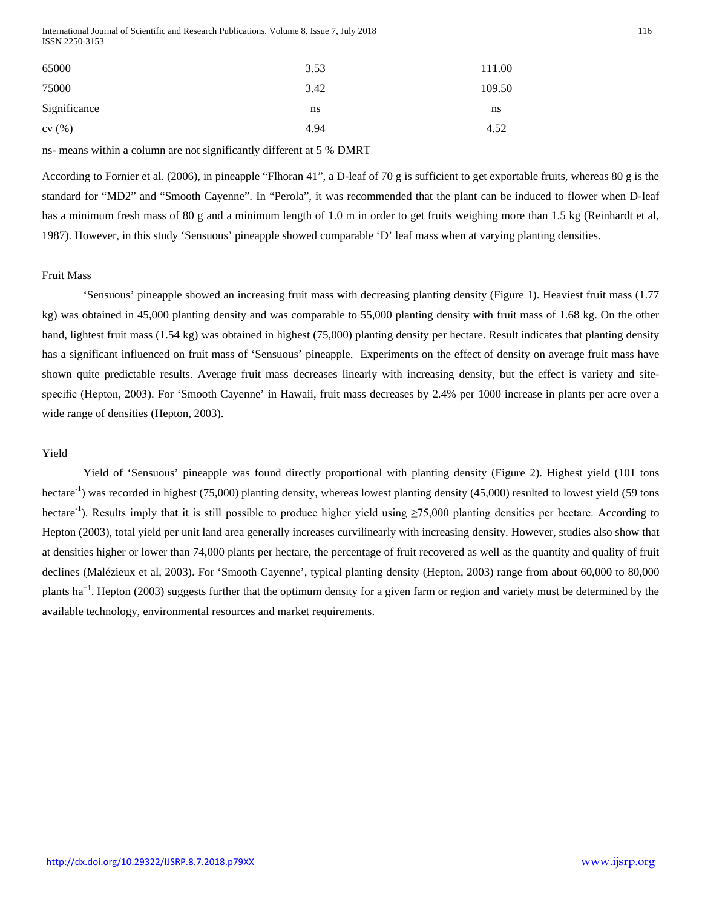| 65000        | 3.53 | 111.00 |
|--------------|------|--------|
| 75000        | 3.42 | 109.50 |
| Significance | ns   | ns     |
| cv(%)        | 4.94 | 4.52   |

ns- means within a column are not significantly different at 5 % DMRT

According to Fornier et al. (2006), in pineapple "Flhoran 41", a D-leaf of 70 g is sufficient to get exportable fruits, whereas 80 g is the standard for "MD2" and "Smooth Cayenne". In "Perola", it was recommended that the plant can be induced to flower when D-leaf has a minimum fresh mass of 80 g and a minimum length of 1.0 m in order to get fruits weighing more than 1.5 kg (Reinhardt et al, 1987). However, in this study 'Sensuous' pineapple showed comparable 'D' leaf mass when at varying planting densities.

#### Fruit Mass

'Sensuous' pineapple showed an increasing fruit mass with decreasing planting density (Figure 1). Heaviest fruit mass (1.77 kg) was obtained in 45,000 planting density and was comparable to 55,000 planting density with fruit mass of 1.68 kg. On the other hand, lightest fruit mass (1.54 kg) was obtained in highest (75,000) planting density per hectare. Result indicates that planting density has a significant influenced on fruit mass of 'Sensuous' pineapple. Experiments on the effect of density on average fruit mass have shown quite predictable results. Average fruit mass decreases linearly with increasing density, but the effect is variety and sitespecific (Hepton, 2003). For 'Smooth Cayenne' in Hawaii, fruit mass decreases by 2.4% per 1000 increase in plants per acre over a wide range of densities (Hepton, 2003).

#### Yield

Yield of 'Sensuous' pineapple was found directly proportional with planting density (Figure 2). Highest yield (101 tons hectare<sup>-1</sup>) was recorded in highest (75,000) planting density, whereas lowest planting density (45,000) resulted to lowest yield (59 tons hectare<sup>-1</sup>). Results imply that it is still possible to produce higher yield using ≥75,000 planting densities per hectare. According to Hepton (2003), total yield per unit land area generally increases curvilinearly with increasing density. However, studies also show that at densities higher or lower than 74,000 plants per hectare, the percentage of fruit recovered as well as the quantity and quality of fruit declines (Malézieux et al, 2003). For 'Smooth Cayenne', typical planting density (Hepton, 2003) range from about 60,000 to 80,000 plants ha<sup>-1</sup>. Hepton (2003) suggests further that the optimum density for a given farm or region and variety must be determined by the available technology, environmental resources and market requirements.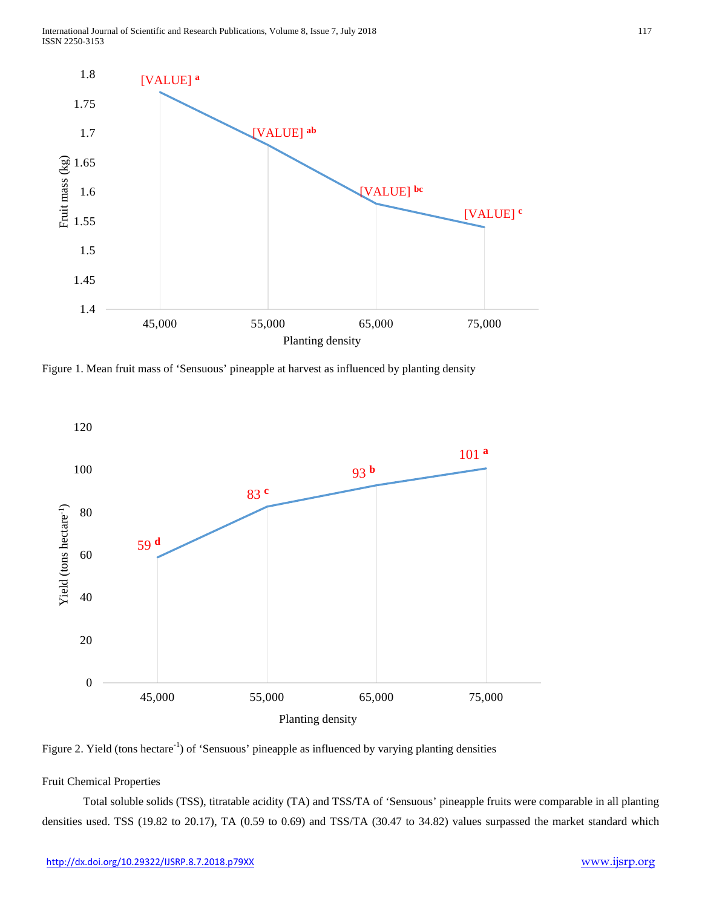

Figure 1. Mean fruit mass of 'Sensuous' pineapple at harvest as influenced by planting density



Figure 2. Yield (tons hectare<sup>-1</sup>) of 'Sensuous' pineapple as influenced by varying planting densities

# Fruit Chemical Properties

Total soluble solids (TSS), titratable acidity (TA) and TSS/TA of 'Sensuous' pineapple fruits were comparable in all planting densities used. TSS (19.82 to 20.17), TA (0.59 to 0.69) and TSS/TA (30.47 to 34.82) values surpassed the market standard which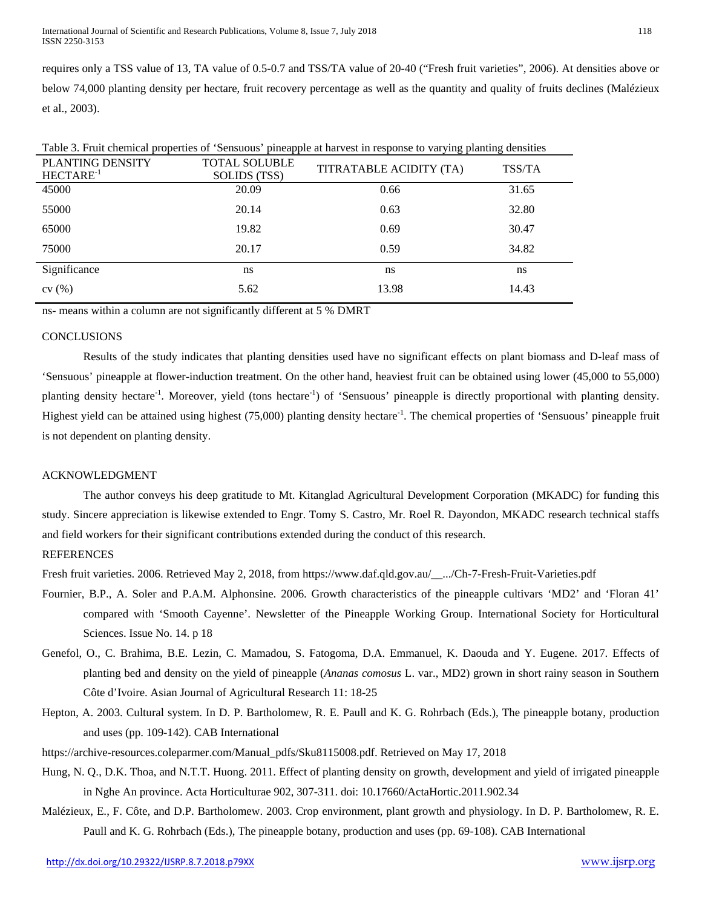International Journal of Scientific and Research Publications, Volume 8, Issue 7, July 2018 118 ISSN 2250-3153

requires only a TSS value of 13, TA value of 0.5-0.7 and TSS/TA value of 20-40 ("Fresh fruit varieties", 2006). At densities above or below 74,000 planting density per hectare, fruit recovery percentage as well as the quantity and quality of fruits declines (Malézieux et al., 2003).

| Table 3. Fruit chemical properties of 'Sensuous' pineapple at harvest in response to varying planting densities |                      |                         |        |  |  |
|-----------------------------------------------------------------------------------------------------------------|----------------------|-------------------------|--------|--|--|
| PLANTING DENSITY                                                                                                | <b>TOTAL SOLUBLE</b> | TITRATABLE ACIDITY (TA) | TSS/TA |  |  |
| $HECTARE^{-1}$                                                                                                  | SOLIDS (TSS)         |                         |        |  |  |
| 45000                                                                                                           | 20.09                | 0.66                    | 31.65  |  |  |
| 55000                                                                                                           | 20.14                | 0.63                    | 32.80  |  |  |
| 65000                                                                                                           | 19.82                | 0.69                    | 30.47  |  |  |
| 75000                                                                                                           | 20.17                | 0.59                    | 34.82  |  |  |
| Significance                                                                                                    | ns.                  | ns                      | ns     |  |  |
| cv(%)                                                                                                           | 5.62                 | 13.98                   | 14.43  |  |  |

ns- means within a column are not significantly different at 5 % DMRT

## **CONCLUSIONS**

Results of the study indicates that planting densities used have no significant effects on plant biomass and D-leaf mass of 'Sensuous' pineapple at flower-induction treatment. On the other hand, heaviest fruit can be obtained using lower (45,000 to 55,000) planting density hectare<sup>-1</sup>. Moreover, yield (tons hectare<sup>-1</sup>) of 'Sensuous' pineapple is directly proportional with planting density. Highest yield can be attained using highest (75,000) planting density hectare<sup>-1</sup>. The chemical properties of 'Sensuous' pineapple fruit is not dependent on planting density.

#### ACKNOWLEDGMENT

The author conveys his deep gratitude to Mt. Kitanglad Agricultural Development Corporation (MKADC) for funding this study. Sincere appreciation is likewise extended to Engr. Tomy S. Castro, Mr. Roel R. Dayondon, MKADC research technical staffs and field workers for their significant contributions extended during the conduct of this research.

## **REFERENCES**

Fresh fruit varieties. 2006. Retrieved May 2, 2018, from https://www.daf.qld.gov.au/\_\_.../Ch-7-Fresh-Fruit-Varieties.pdf

- Fournier, B.P., A. Soler and P.A.M. Alphonsine. 2006. Growth characteristics of the pineapple cultivars 'MD2' and 'Floran 41' compared with 'Smooth Cayenne'. Newsletter of the Pineapple Working Group. International Society for Horticultural Sciences. Issue No. 14. p 18
- Genefol, O., C. Brahima, B.E. Lezin, C. Mamadou, S. Fatogoma, D.A. Emmanuel, K. Daouda and Y. Eugene. 2017. Effects of planting bed and density on the yield of pineapple (*Ananas comosus* L. var., MD2) grown in short rainy season in Southern Côte d'Ivoire. Asian Journal of Agricultural Research 11: 18-25
- Hepton, A. 2003. Cultural system. In D. P. Bartholomew, R. E. Paull and K. G. Rohrbach (Eds.), The pineapple botany, production and uses (pp. 109-142). CAB International
- https://archive-resources.coleparmer.com/Manual\_pdfs/Sku8115008.pdf. Retrieved on May 17, 2018
- Hung, N. Q., D.K. Thoa, and N.T.T. Huong. 2011. Effect of planting density on growth, development and yield of irrigated pineapple in Nghe An province. Acta Horticulturae 902, 307-311. doi: 10.17660/ActaHortic.2011.902.34
- Malézieux, E., F. Côte, and D.P. Bartholomew. 2003. Crop environment, plant growth and physiology. In D. P. Bartholomew, R. E. Paull and K. G. Rohrbach (Eds.), The pineapple botany, production and uses (pp. 69-108). CAB International